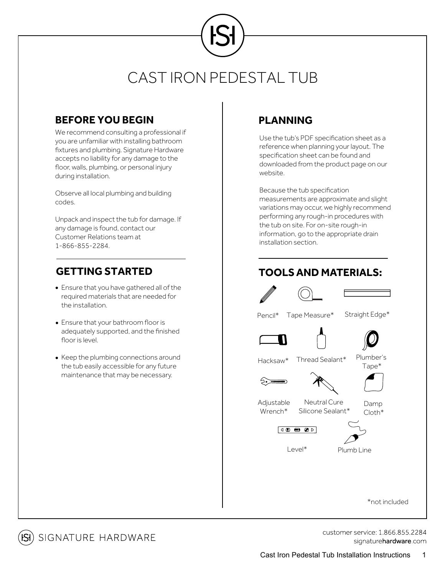#### **BEFORE YOU BEGIN**

We recommend consulting a professional if you are unfamiliar with installing bathroom fixtures and plumbing. Signature Hardware accepts no liability for any damage to the floor, walls, plumbing, or personal injury during installation.

Observe all local plumbing and building codes.

Unpack and inspect the tub for damage. If any damage is found, contact our Customer Relations team at 1-866-855-2284.

- Ensure that you have gathered all of the required materials that are needed for the installation.
- Ensure that your bathroom floor is adequately supported, and the finished floor is level.
- Keep the plumbing connections around the tub easily accessible for any future maintenance that may be necessary.

## **PLANNING**

Use the tub's PDF specification sheet as a reference when planning your layout. The specification sheet can be found and downloaded from the product page on our website.

Because the tub specification measurements are approximate and slight variations may occur, we highly recommend performing any rough-in procedures with the tub on site. For on-site rough-in information, go to the appropriate drain installation section.

### **GETTING STARTED TOOLSAND MATERIALS:**

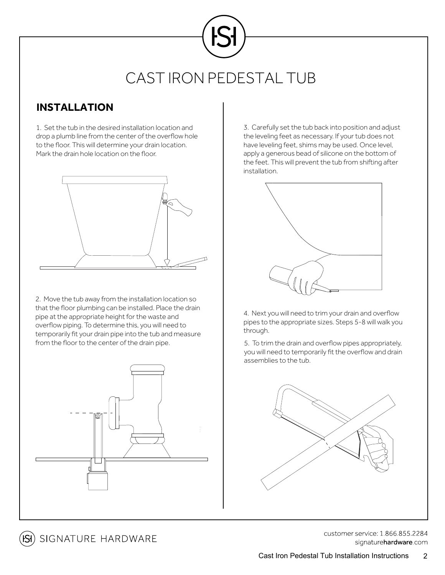#### **INSTALLATION**

1. Set the tub in the desired installation location and drop a plumb line from the center of the overflow hole to the floor. This will determine your drain location. Mark the drain hole location on the floor.



2. Move the tub away from the installation location so that the floor plumbing can be installed. Place the drain pipe at the appropriate height for the waste and overflow piping. To determine this, you will need to temporarily fit your drain pipe into the tub and measure from the floor to the center of the drain pipe.



3. Carefully set the tub back into position and adjust the leveling feet as necessary. If your tub does not have leveling feet, shims may be used. Once level, apply a generous bead of silicone on the bottom of the feet. This will prevent the tub from shifting after installation.



4. Next you will need to trim your drain and overflow pipes to the appropriate sizes. Steps 5-8 will walk you through.

5. To trim the drain and overflow pipes appropriately, you will need to temporarily fit the overflow and drain assemblies to the tub.



**isi**) signature hardware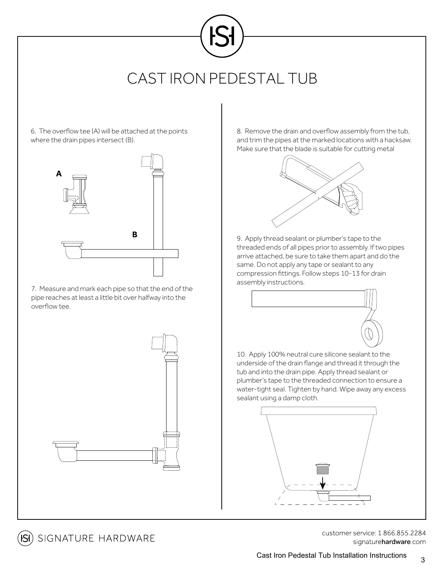6. The overflow tee (A) will be attached at the points where the drain pipes intersect (B).



7. Measure and mark each pipe so that the end of the pipe reaches at least a little bit over halfway into the overflow tee.

SIGNATURE HARDWARE

8. Remove the drain and overflow assembly from the tub, and trim the pipes at the marked locations with a hacksaw. Make sure that the blade is suitable for cutting metal



9. Apply thread sealant or plumber's tape to the threaded ends of all pipes prior to assembly. If two pipes arrive attached, be sure to take them apart and do the same. Do not apply any tape or sealant to any compression fittings. Follow steps 10-13 for drain assembly instructions.



10. Apply 100% neutral cure silicone sealant to the underside of the drain flange and thread it through the tub and into the drain pipe. Apply thread sealant or plumber's tape to the threaded connection to ensure a water-tight seal. Tighten by hand. Wipe away any excess sealant using a damp cloth.

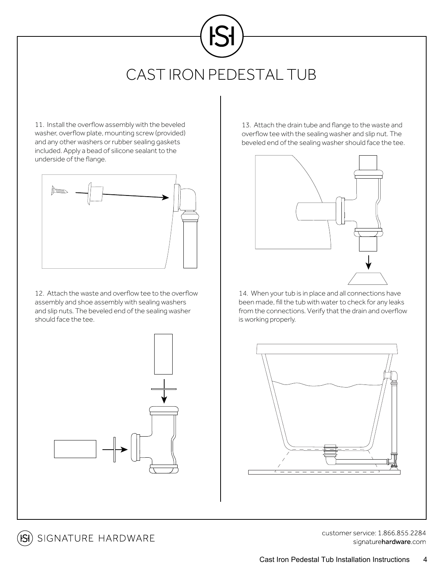11. Install the overflow assembly with the beveled washer, overflow plate, mounting screw (provided) and any other washers or rubber sealing gaskets included. Apply a bead of silicone sealant to the underside of the flange.



12. Attach the waste and overflow tee to the overflow assembly and shoe assembly with sealing washers and slip nuts. The beveled end of the sealing washer should face the tee.



13. Attach the drain tube and flange to the waste and overflow tee with the sealing washer and slip nut. The beveled end of the sealing washer should face the tee.



14. When your tub is in place and all connections have been made, fill the tub with water to check for any leaks from the connections. Verify that the drain and overflow is working properly.



**isi**) signature hardware